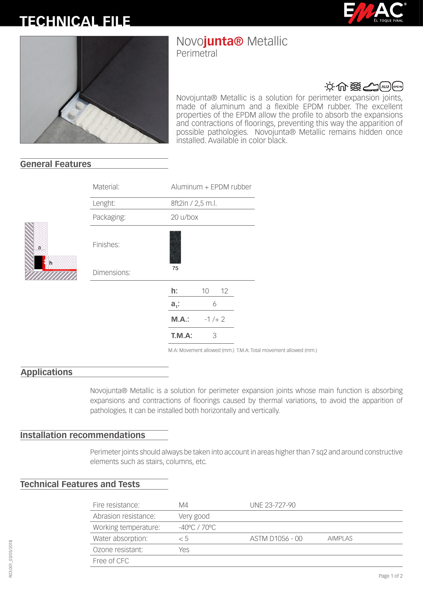# **TECHNICAL FILE**





# Novo**junta®** Metallic

Perimetral



Novojunta® Metallic is a solution for perimeter expansion joints, made of aluminum and a flexible EPDM rubber. The excellent properties of the EPDM allow the profile to absorb the expansions and contractions of floorings, preventing this way the apparition of possible pathologies. Novojunta® Metallic remains hidden once installed. Available in color black.

## **General Features**

|  | Material:   |                   | Aluminum + EPDM rubber |    |  |
|--|-------------|-------------------|------------------------|----|--|
|  | Lenght:     | 8ft2in / 2,5 m.l. |                        |    |  |
|  | Packaging:  | 20 u/box          |                        |    |  |
|  | Finishes:   |                   |                        |    |  |
|  | Dimensions: | 75                |                        |    |  |
|  |             | h:                | 10                     | 12 |  |
|  |             | $a_i$ :           | 6                      |    |  |
|  |             | A.M.M.            | $-1/2$                 |    |  |
|  |             | T.M.A:            | 3                      |    |  |
|  |             |                   |                        |    |  |

M.A: Movement allowed (mm.) T.M.A: Total movement allowed (mm.)

### **Applications**

Novojunta® Metallic is a solution for perimeter expansion joints whose main function is absorbing expansions and contractions of floorings caused by thermal variations, to avoid the apparition of pathologies. It can be installed both horizontally and vertically.

### **Installation recommendations**

Perimeter joints should always be taken into account in areas higher than 7 sq2 and around constructive elements such as stairs, columns, etc.

### **Technical Features and Tests**

| Fire resistance:     | M4                      | UNE 23-727-90   |                |
|----------------------|-------------------------|-----------------|----------------|
| Abrasion resistance: | Very good               |                 |                |
| Working temperature: | $-40^{\circ}$ C / 70 °C |                 |                |
| Water absorption:    | < 5                     | ASTM D1056 - 00 | <b>AIMPLAS</b> |
| Ozone resistant:     | Yes                     |                 |                |
| Free of CFC          |                         |                 |                |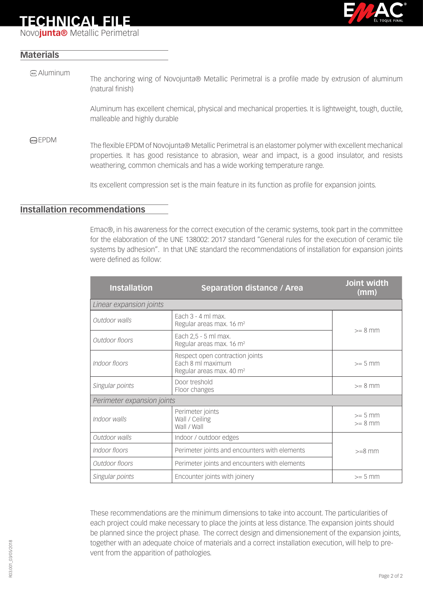## **TECHNICAL FILE**

Novo**junta®** Metallic Perimetral



### **Materials**

The anchoring wing of Novojunta® Metallic Perimetral is a profile made by extrusion of aluminum (natural finish) (aw) Aluminum

Aluminum has excellent chemical, physical and mechanical properties. It is lightweight, tough, ductile, malleable and highly durable

EPDM The flexible EPDM of Novojunta® Metallic Perimetral is an elastomer polymer with excellent mechanical properties. It has good resistance to abrasion, wear and impact, is a good insulator, and resists weathering, common chemicals and has a wide working temperature range.

Its excellent compression set is the main feature in its function as profile for expansion joints.

## **Installation recommendations**

Emac®, in his awareness for the correct execution of the ceramic systems, took part in the committee for the elaboration of the UNE 138002: 2017 standard "General rules for the execution of ceramic tile systems by adhesion". In that UNE standard the recommendations of installation for expansion joints were defined as follow:

| <b>Installation</b>        | <b>Separation distance / Area</b>                                                            | Joint width<br>(mm)    |  |  |  |  |
|----------------------------|----------------------------------------------------------------------------------------------|------------------------|--|--|--|--|
| Linear expansion joints    |                                                                                              |                        |  |  |  |  |
| Outdoor walls              | Fach $3 - 4$ ml max.<br>Regular areas max. 16 m <sup>2</sup>                                 | $>= 8$ mm              |  |  |  |  |
| Outdoor floors             | Each 2,5 - 5 ml max.<br>Regular areas max. 16 m <sup>2</sup>                                 |                        |  |  |  |  |
| Indoor floors              | Respect open contraction joints<br>Each 8 ml maximum<br>Regular areas max. 40 m <sup>2</sup> | $>= 5$ mm              |  |  |  |  |
| Singular points            | Door treshold<br>Floor changes                                                               | $>= 8$ mm              |  |  |  |  |
| Perimeter expansion joints |                                                                                              |                        |  |  |  |  |
| Indoor walls               | Perimeter joints<br>Wall / Ceiling<br>Wall / Wall                                            | $>= 5$ mm<br>$>= 8$ mm |  |  |  |  |
| Outdoor walls              | Indoor / outdoor edges                                                                       |                        |  |  |  |  |
| Indoor floors              | Perimeter joints and encounters with elements                                                | $>=8$ mm               |  |  |  |  |
| Outdoor floors             | Perimeter joints and encounters with elements                                                |                        |  |  |  |  |
| Singular points            | Encounter joints with joinery                                                                | $>= 5$ mm              |  |  |  |  |

These recommendations are the minimum dimensions to take into account. The particularities of each project could make necessary to place the joints at less distance. The expansion joints should be planned since the project phase. The correct design and dimensionement of the expansion joints, together with an adequate choice of materials and a correct installation execution, will help to prevent from the apparition of pathologies.